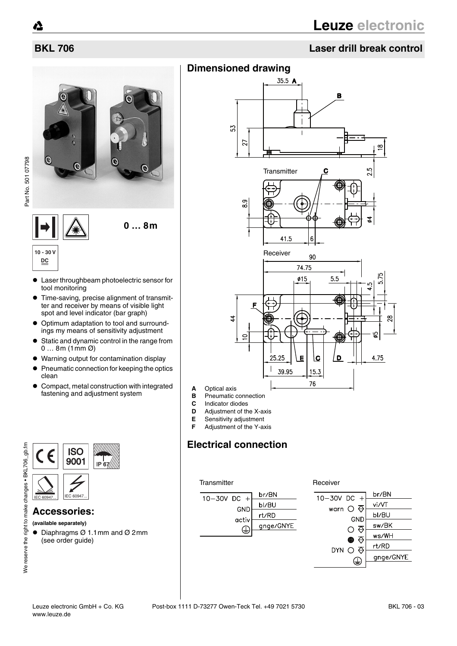# **BKL 706 Laser drill break control**

# A  $\Omega$



• Laser throughbeam photoelectric sensor for tool monitoring

**0 … 8m**

- $\bullet$  Time-saving, precise alignment of transmitter and receiver by means of visible light spot and level indicator (bar graph)
- $\bullet$  Optimum adaptation to tool and surroundings my means of sensitivity adjustment
- $\bullet$  Static and dynamic control in the range from 0 … 8m (1mm Ø)
- Warning output for contamination display
- **Pneumatic connection for keeping the optics** clean
- Compact, metal construction with integrated fastening and adjustment system



#### **Accessories:**

**(available separately)**

 $\bullet$  Diaphragms Ø 1.1mm and Ø 2mm (see order guide)

# **Dimensioned drawing**



- 
- **C** Indicator diodes<br>**D** Adjustment of th
- **D** Adjustment of the X-axis<br>**E** Sensitivity adjustment
- **E** Sensitivity adjustment<br>**F** Adjustment of the Y-ax **F** Adjustment of the Y-axis

# **Electrical connection**

#### Transmitter **Receiver** Receiver



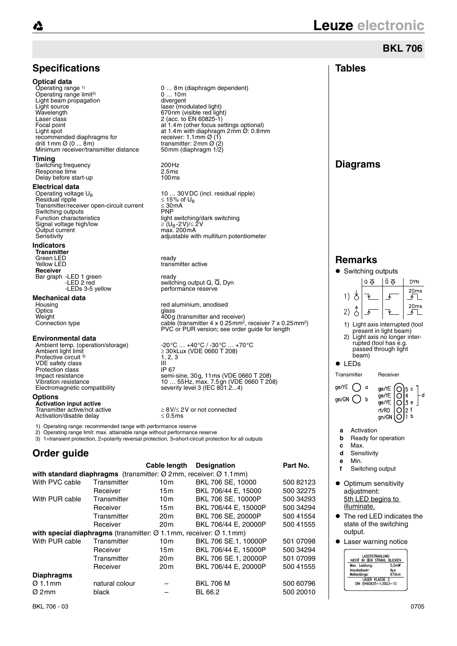**Timing**

# **Leuze electronic**

#### **BKL 706Specifications Tables Optical data** Operating range <sup>1)</sup> 0 ... 8m (diaphragm dependent)<br>0 ... 10m Operating range limit<sup>2)</sup> 0 ... 10m<br>divergent Light beam propagation<br>Light source Light source laser (modulated light)<br>
Wavelength Mayelength (Visible red light) Wavelength 670nm (visible red light)<br>  $\frac{1}{2}$  (acc. to FN 60825-1) Laser class 2 (acc. to EN 60825-1) Focal point at 1.4m (other focus settings optional) Light spot at 1.4m with diaphragm 2mm  $\ddot{\mathcal{O}}$ : 0.8mm<br>recommended diaphragms for receiver: 1.1mm  $\mathcal{O}(1)$ recommended diaphragms for<br>
drill 1mm  $\varnothing$  (0 ... 8m)<br>
transmitter: 2mm  $\varnothing$  (2) drill 1mm Ø (0 ... 8m)<br>Minimum receiver/transmitter distance 50mm (diaphragm 1/2) Minimum receiver/transmitter distance **Diagrams** Switching frequency and the control of the 200Hz<br>Response time the 2.5 ms Response time  $\frac{1}{2.5}$  Pesponse time  $\frac{2.5 \text{ms}}{100 \text{ms}}$ Delay before start-up **Electrical data**<br>Operating voltage U<sub>B</sub> 10 ... 30 VDC (incl. residual ripple)<br> $\leq$  15% of U<sub>B</sub> Residual ripple  $\leq 15\%$  c<br>Transmitter/receiver open-circuit current < 30 mA  $Transmitter/receiver open-circuit currentSwitching outputs$ Switching outputs<br>Function characteristics Function characteristics light switching/dark switching Signal voltage high/low<br>Output current Output current max. 200mA Sensitivity **Sensitivity** adjustable with multiturn potentiometer **Indicators Transmitter** Green LED<br>
Yellow LED<br>
Yellow LED **Remarks** transmitter active **Receiver** • Switching outputs Bar graph -LED 1 green<br>LED 2 red -LED 1 green<br>-LED 2 red switching output Q, Q, Dyn<br>-LEDs 3-5 yellow performance reserve  $Q \nleftrightarrow$  $\bar{Q}$   $\bar{Q}$ **DYN** performance reserve  $20ms$ 1) ලි **Mechanical data**  $\sqrt{1}$ Housing **Finally 19** and the red aluminium, anodised contics  $20ms$  $\delta$ Optics glass Weight 400g (transmitter and receiver) Connection type cable (transmitter 4 x 0.25mm2, receiver 7 x 0.25mm2)  $2)$ 工  $\overline{A}$ 1) Light axis interrupted (tool PVC or PUR version; see order guide for length present in light beam) 2) Light axis no longer inter-rupted (tool has e.g. **Environmental data** Ambient temp. (operation/storage) -20 °C ... +40 °C / -30 °C ... +70 °C<br>Ambient light limit <br>
≥ 30kLux (VDE 0660 T 208) passed through light  $\geq$  30kLux (VDE 0660 T 208) beam) Protective circuit 3)  $\frac{1}{11}$ , 2, 3 VDE safety class III<br>Protection class III  $\bullet$  LEDs Protection class<br>Impact resistance Transmitter Receiver Impact resistance semi-sine, 30g, 11ms (VDE 0660 T 208) Vibration resistance 10 … 55Hz, max. 7.5gn (VDE 0660 T 208) Electromagnetic compatibility severity level 3 (IEC 801.2...4) ge/YE  $\bigcap$  a ge/YE  $\circ$ ge/YE O ٠d  $qn/GN$   $\bigcap$  b ge/YE Ō 13 **Activation input active** rt/RD  $\geq$  8V/ $\leq$  2V or not connected<br>< 0.5ms ∩ ۱ŋ Activation/disable delay gn/GN  $\Omega$ b 1) Operating range: recommended range with performance reserve **a** Activation 2) Operating range limit: max. attainable range without performance reserve **b** Ready for operation 3) 1=transient protection, 2=polarity reversal protection, 3=short-circuit protection for all outputs **c** Max. **Order guide d** Sensitivity **e** Min. **Cable length Designation Part No. f** Switching output **with standard diaphragms** (transmitter: Ø 2mm, receiver: Ø 1.1mm) With PVC cable Transmitter 10m BKL 706 SE, 10000 500 82123 • Optimum sensitivity Receiver 15m BKL 706/44 E, 15000 500 32275 adjustment: With PUR cable Transmitter 10m BKL 706 SE, 10000P 500 34293 **5th LED begins to** illuminate. Receiver 15m BKL 706/44 E, 15000P 500 34294 Transmitter 20m BKL 706 SE, 20000P 500 41554<br>Receiver 20m BKL 706/44 E, 20000P 500 41555 The red LED indicates the state of the switching

Receiver 20m BKL 706/44 E, 20000P **with special diaphragms** (transmitter: Ø 1.1mm, receiver: Ø 1.1mm) With PUR cable Transmitter 10m BKL 706 SE.1, 10000P 501 07098<br>Receiver 15m BKL 706/44 E, 15000P 500 34294 15m BKL 706/44 E, 15000P Transmitter 20m BKL 706 SE.1, 20000P 501 07099 Receiver 20m BKL 706/44 E, 20000P 500 41555

#### **Diaphragms**

**Options**

## Ø 1.1mm natural colour – BKL 706 M 500 60796 Ø 2mm black – BL 66.2 500 20010

output.

Laser warning notice

LASERSTRAHLUNG<br>NICHT IN DEN STRAHL BLICKEN

 $0.5mW$ 4µs<br>670nm

Mort IN DEN STRAHL BLUXI<br>Max. Leistung: 0,5m<br>Impulsdauer: 445<br>Wellenlänge: 670m<br>LASER KLASSE 2<br>DIN EN60825-1:2003-10